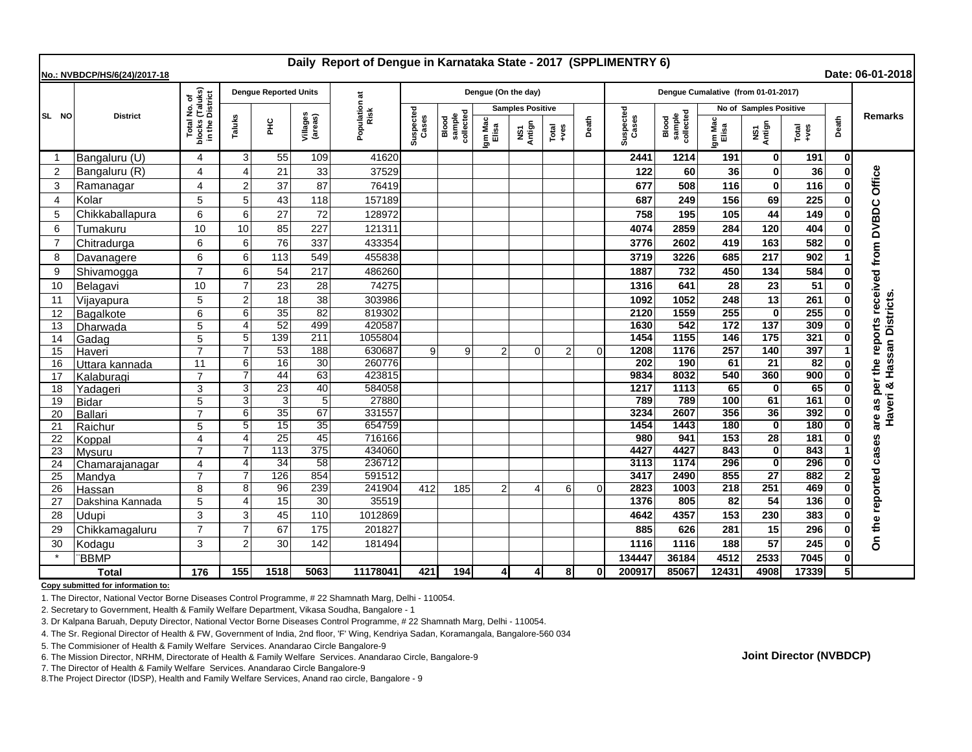| Daily Report of Dengue in Karnataka State - 2017 (SPPLIMENTRY 6)<br>Date: 06-01-2018<br>No.: NVBDCP/HS/6(24)/2017-18 |                  |                                                                 |                            |                              |                     |                       |                    |                              |                         |                |               |          |                                     |                              |                         |                        |                 |       |                                 |
|----------------------------------------------------------------------------------------------------------------------|------------------|-----------------------------------------------------------------|----------------------------|------------------------------|---------------------|-----------------------|--------------------|------------------------------|-------------------------|----------------|---------------|----------|-------------------------------------|------------------------------|-------------------------|------------------------|-----------------|-------|---------------------------------|
|                                                                                                                      | <b>District</b>  |                                                                 |                            | <b>Dengue Reported Units</b> |                     |                       |                    |                              | Dengue (On the day)     |                |               |          | Dengue Cumalative (from 01-01-2017) |                              |                         |                        |                 |       |                                 |
| SL NO                                                                                                                |                  | l No. of<br>(Taluks)<br>District<br>Total<br>blocks<br>in the I |                            |                              |                     | Population at<br>Risk |                    |                              | <b>Samples Positive</b> |                |               |          |                                     |                              | No of Samples Positive  |                        |                 |       |                                 |
|                                                                                                                      |                  |                                                                 | Taluks                     | 울                            | Villages<br>(areas) |                       | Suspected<br>Cases | sample<br>collected<br>Blood | Igm Mac<br>Elisa        | NS1<br>Antign  | Total<br>+ves | Death    | Suspected<br>Cases                  | sample<br>collected<br>Blood | Igm Mac<br>Elisa        | NS1<br>Antign          | Total<br>+ves   | Death | <b>Remarks</b>                  |
| -1                                                                                                                   | Bangaluru (U)    | 4                                                               | 3                          | 55                           | 109                 | 41620                 |                    |                              |                         |                |               |          | 2441                                | 1214                         | 191                     | 0                      | 191             | 0     |                                 |
| $\overline{2}$                                                                                                       | Bangaluru (R)    | 4                                                               | $\boldsymbol{\Lambda}$     | 21                           | 33                  | 37529                 |                    |                              |                         |                |               |          | 122                                 | 60                           | 36                      | O                      | 36              |       | Office                          |
| 3                                                                                                                    | Ramanagar        | 4                                                               | $\overline{2}$             | 37                           | 87                  | 76419                 |                    |                              |                         |                |               |          | 677                                 | 508                          | 116                     | $\bf{0}$               | 116             |       |                                 |
| $\overline{4}$                                                                                                       | Kolar            | 5                                                               | 5                          | 43                           | 118                 | 157189                |                    |                              |                         |                |               |          | 687                                 | 249                          | 156                     | 69                     | 225             |       |                                 |
| 5                                                                                                                    | Chikkaballapura  | 6                                                               | 6                          | 27                           | 72                  | 128972                |                    |                              |                         |                |               |          | 758                                 | 195                          | 105                     | 44                     | 149             |       |                                 |
| 6                                                                                                                    | Tumakuru         | 10                                                              | 10                         | 85                           | 227                 | 121311                |                    |                              |                         |                |               |          | 4074                                | 2859                         | 284                     | 120                    | 404             |       |                                 |
| 7                                                                                                                    | Chitradurga      | 6                                                               | 6                          | 76                           | 337                 | 433354                |                    |                              |                         |                |               |          | 3776                                | 2602                         | 419                     | 163                    | 582             |       |                                 |
| 8                                                                                                                    | Davanagere       | 6                                                               | 6                          | 113                          | 549                 | 455838                |                    |                              |                         |                |               |          | 3719                                | 3226                         | 685                     | 217                    | 902             |       | the reports received from DVBDC |
| 9                                                                                                                    | Shivamogga       | $\overline{7}$                                                  | 6                          | 54                           | 217                 | 486260                |                    |                              |                         |                |               |          | 1887                                | 732                          | 450                     | 134                    | 584             |       |                                 |
| 10                                                                                                                   | Belagavi         | 10                                                              | $\overline{7}$             | 23                           | 28                  | 74275                 |                    |                              |                         |                |               |          | 1316                                | 641                          | 28                      | 23                     | 51              |       |                                 |
| 11                                                                                                                   | Vijayapura       | 5                                                               | $\overline{2}$             | 18                           | 38                  | 303986                |                    |                              |                         |                |               |          | 1092                                | 1052                         | 248                     | 13                     | 261             |       |                                 |
| 12                                                                                                                   | Bagalkote        | 6                                                               | 6                          | $\overline{35}$              | 82                  | 819302                |                    |                              |                         |                |               |          | 2120                                | 1559                         | 255                     | $\Omega$               | 255             |       | san Districts                   |
| 13                                                                                                                   | Dharwada         | 5                                                               | $\boldsymbol{\Delta}$      | 52                           | 499                 | 420587                |                    |                              |                         |                |               |          | 1630                                | 542                          | 172                     | 137                    | 309             |       |                                 |
| 14                                                                                                                   | Gadag            | 5                                                               | 5                          | 139                          | 211                 | 1055804               |                    |                              |                         |                |               |          | 1454                                | 1155                         | 146                     | 175                    | 321             |       |                                 |
| 15                                                                                                                   | Haveri           | $\overline{7}$                                                  | 7                          | 53                           | 188                 | 630687                | 9                  | 9                            | $\overline{2}$          | $\overline{0}$ | 2             | $\Omega$ | 1208                                | 1176                         | 257                     | 140                    | 397             |       |                                 |
| 16                                                                                                                   | Uttara kannada   | 11                                                              | 6                          | 16                           | 30                  | 260776                |                    |                              |                         |                |               |          | 202                                 | 190                          | 61                      | $\overline{21}$        | $\overline{82}$ |       | Haveri & Has                    |
| 17                                                                                                                   | Kalaburagi       | $\overline{7}$                                                  |                            | $\overline{44}$              | 63                  | 423815                |                    |                              |                         |                |               |          | 9834                                | 8032                         | 540                     | 360                    | 900             | 0l    |                                 |
| 18                                                                                                                   | Yadageri         | 3                                                               | 3                          | 23                           | 40                  | 584058                |                    |                              |                         |                |               |          | 1217                                | 1113                         | 65                      | 0                      | 65              |       | per                             |
| 19                                                                                                                   | <b>Bidar</b>     | 5                                                               | 3                          | 3                            | $\overline{5}$      | 27880                 |                    |                              |                         |                |               |          | 789                                 | 789                          | 100                     | 61                     | 161             | O     | are as                          |
| 20                                                                                                                   | <b>Ballari</b>   | $\overline{7}$                                                  | 6                          | 35                           | 67                  | 331557                |                    |                              |                         |                |               |          | 3234                                | 2607                         | 356                     | 36                     | 392             | 0     |                                 |
| 21                                                                                                                   | Raichur          | 5                                                               | 5                          | 15                           | 35                  | 654759                |                    |                              |                         |                |               |          | 1454                                | 1443                         | 180                     | $\mathbf 0$            | 180             |       |                                 |
| 22                                                                                                                   | Koppal           | 4                                                               | $\boldsymbol{\Delta}$      | $\overline{25}$              | 45                  | 716166                |                    |                              |                         |                |               |          | 980                                 | 941                          | 153                     | 28                     | 181             |       |                                 |
| 23                                                                                                                   | Mysuru           | $\overline{7}$                                                  |                            | 113                          | 375                 | 434060                |                    |                              |                         |                |               |          | 4427                                | 4427                         | 843                     | $\mathbf 0$            | 843             |       | cases                           |
| 24                                                                                                                   | Chamarajanagar   | 4                                                               | $\boldsymbol{\Delta}$      | 34                           | 58                  | 236712                |                    |                              |                         |                |               |          | 3113                                | 1174                         | 296                     | 0                      | 296             |       |                                 |
| 25                                                                                                                   | Mandya           | 7                                                               |                            | 126                          | 854<br>239          | 591512<br>241904      | 412                |                              |                         |                |               |          | 3417                                | 2490<br>1003                 | 855<br>$\overline{218}$ | $\overline{27}$<br>251 | 882<br>469      |       |                                 |
| 26                                                                                                                   | Hassan           | 8                                                               | 8<br>$\boldsymbol{\Delta}$ | 96                           | 30                  |                       |                    | 185                          | $\overline{2}$          | 4              | 6             | $\Omega$ | 2823                                |                              |                         | 54                     |                 |       |                                 |
| 27<br>28                                                                                                             | Dakshina Kannada | 5<br>3                                                          | 3                          | 15<br>45                     | 110                 | 35519<br>1012869      |                    |                              |                         |                |               |          | 1376<br>4642                        | 805<br>4357                  | 82<br>153               | 230                    | 136<br>383      |       | On the reported                 |
|                                                                                                                      | Udupi            | $\overline{7}$                                                  | $\overline{7}$             |                              |                     |                       |                    |                              |                         |                |               |          |                                     |                              |                         |                        |                 |       |                                 |
| 29                                                                                                                   | Chikkamagaluru   |                                                                 |                            | 67                           | 175                 | 201827                |                    |                              |                         |                |               |          | 885                                 | 626                          | 281                     | 15                     | 296             |       |                                 |
| 30                                                                                                                   | Kodagu           | 3                                                               | $\overline{2}$             | 30                           | 142                 | 181494                |                    |                              |                         |                |               |          | 1116                                | 1116                         | 188                     | 57                     | 245             |       |                                 |
|                                                                                                                      | <b>BBMP</b>      |                                                                 |                            |                              |                     |                       |                    |                              |                         |                |               |          | 134447                              | 36184                        | 4512                    | 2533                   | 7045            |       |                                 |
| <b>Total</b>                                                                                                         |                  | 176                                                             | 155                        | 1518                         | 5063                | 11178041              | 421                | 194                          | $\overline{4}$          | $\overline{4}$ | 8             | $\Omega$ | 200917                              | 85067                        | 12431                   | 4908                   | 17339           | 5Ι    |                                 |

**Copy submitted for information to:**

1. The Director, National Vector Borne Diseases Control Programme, # 22 Shamnath Marg, Delhi - 110054.

2. Secretary to Government, Health & Family Welfare Department, Vikasa Soudha, Bangalore - 1

3. Dr Kalpana Baruah, Deputy Director, National Vector Borne Diseases Control Programme, # 22 Shamnath Marg, Delhi - 110054.

4. The Sr. Regional Director of Health & FW, Government of India, 2nd floor, 'F' Wing, Kendriya Sadan, Koramangala, Bangalore-560 034

5. The Commisioner of Health & Family Welfare Services. Anandarao Circle Bangalore-9

6. The Mission Director, NRHM, Directorate of Health & Family Welfare Services. Anandarao Circle, Bangalore-9

7. The Director of Health & Family Welfare Services. Anandarao Circle Bangalore-9

8.The Project Director (IDSP), Health and Family Welfare Services, Anand rao circle, Bangalore - 9

**Joint Director (NVBDCP)**